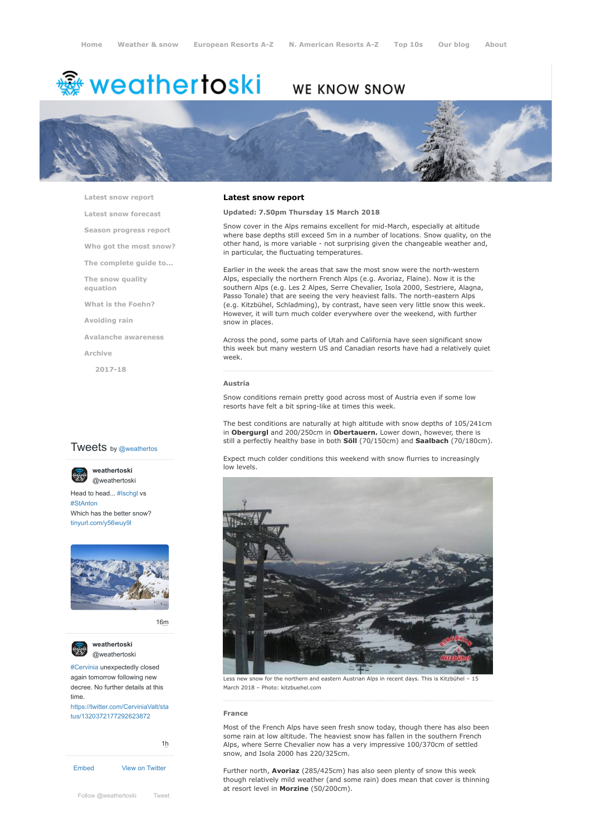# <del>鑾</del> weathertoski

# WE KNOW SNOW



**[Latest snow report](https://www.weathertoski.co.uk/weather-snow/latest-snow-report/)**

**[Latest snow forecast](https://www.weathertoski.co.uk/weather-snow/latest-snow-forecast/)**

**[Season progress report](https://www.weathertoski.co.uk/weather-snow/season-progress-report/)**

**[Who got the most snow?](https://www.weathertoski.co.uk/weather-snow/who-got-the-most-snow/)**

**[The complete guide to...](https://www.weathertoski.co.uk/weather-snow/the-complete-guide-to/)**

**[The snow quality](https://www.weathertoski.co.uk/weather-snow/the-snow-quality-equation/)**

**[What is the Foehn?](https://www.weathertoski.co.uk/weather-snow/what-is-the-foehn/)**

**[Avoiding rain](https://www.weathertoski.co.uk/weather-snow/avoiding-rain/)**

**[Avalanche awareness](https://www.weathertoski.co.uk/weather-snow/avalanche-awareness/)**

**[Archive](https://www.weathertoski.co.uk/weather-snow/archive/)**

**equation**

**[2017-18](https://www.weathertoski.co.uk/weather-snow/archive/2017-18/)**

# **Tweets** by @weathertos

**weathertoski**



Head to head... [#Ischgl](https://twitter.com/hashtag/Ischgl?src=hash) vs [#StAnton](https://twitter.com/hashtag/StAnton?src=hash) Which has the better snow? [tinyurl.com/y56wuy9l](https://t.co/AeKkyB0N9S)



[16m](https://twitter.com/weathertoski/status/1320387692862050304)



**weathertoski** [@weathertoski](https://twitter.com/weathertoski)

[#Cervinia](https://twitter.com/hashtag/Cervinia?src=hash) unexpectedly closed again tomorrow following new decree. No further details at this time. [https://twitter.com/CerviniaValt/sta](https://twitter.com/CerviniaValt/status/1320372177292623872)

tus/1320372177292623872



## **Latest snow report**

## **Updated: 7.50pm Thursday 15 March 2018**

Snow cover in the Alps remains excellent for mid-March, especially at altitude where base depths still exceed 5m in a number of locations. Snow quality, on the other hand, is more variable - not surprising given the changeable weather and, in particular, the fluctuating temperatures.

Earlier in the week the areas that saw the most snow were the north-western Alps, especially the northern French Alps (e.g. Avoriaz, Flaine). Now it is the southern Alps (e.g. Les 2 Alpes, Serre Chevalier, Isola 2000, Sestriere, Alagna, Passo Tonale) that are seeing the very heaviest falls. The north-eastern Alps (e.g. Kitzbühel, Schladming), by contrast, have seen very little snow this week. However, it will turn much colder everywhere over the weekend, with further snow in places.

Across the pond, some parts of Utah and California have seen significant snow this week but many western US and Canadian resorts have had a relatively quiet week.

#### **Austria**

Snow conditions remain pretty good across most of Austria even if some low resorts have felt a bit spring-like at times this week.

The best conditions are naturally at high altitude with snow depths of 105/241cm in **Obergurgl** and 200/250cm in **Obertauern.** Lower down, however, there is still a perfectly healthy base in both **Söll** (70/150cm) and **Saalbach** (70/180cm).

Expect much colder conditions this weekend with snow flurries to increasingly low levels.



Less new snow for the northern and eastern Austrian Alps in recent days. This is Kitzbühel – 15 March 2018 – Photo: kitzbuehel.com

#### **France**

Most of the French Alps have seen fresh snow today, though there has also been some rain at low altitude. The heaviest snow has fallen in the southern French Alps, where Serre Chevalier now has a very impressive 100/370cm of settled snow, and Isola 2000 has 220/325cm.

Further north, **Avoriaz** (285/425cm) has also seen plenty of snow this week though relatively mild weather (and some rain) does mean that cover is thinning at resort level in **Morzine** (50/200cm).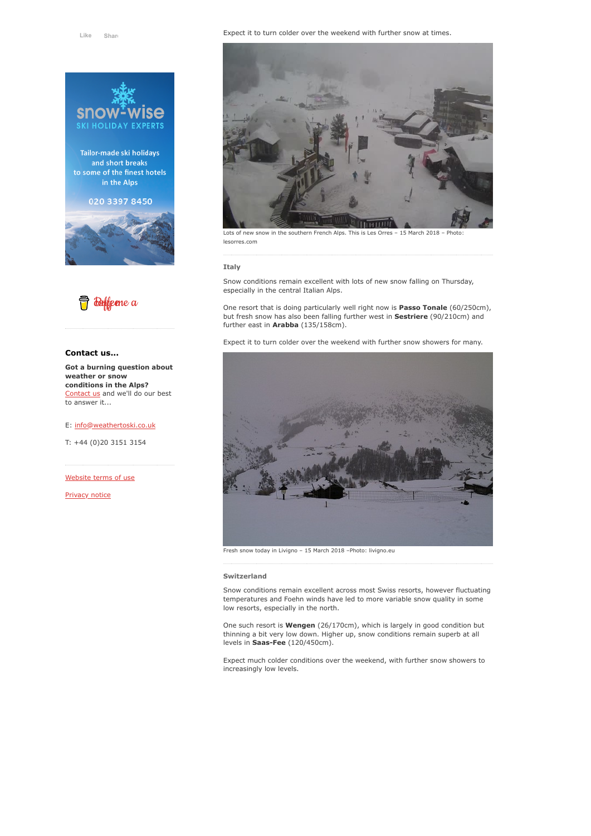

Tailor-made ski holidays and short breaks to some of the finest hotels in the Alps

020 3397 8450





# **Contact us...**

**Got a burning question about weather or snow conditions in the Alps?** [Contact us](https://www.weathertoski.co.uk/about-1/contact-us/) and we'll do our best to answer it...

## E: [info@weathertoski.co.uk](mailto:fraser@weathertoski.co.uk)

T: +44 (0)20 3151 3154

[Website terms of use](https://www.weathertoski.co.uk/about-1/website-terms-of-use/)

[Privacy notice](https://www.weathertoski.co.uk/about-1/privacy-notice/)

#### Expect it to turn colder over the weekend with further snow at times.



Lots of new snow in the southern French Alps. This is Les Orres - 15 March 2018 - Photo lesorres.com

## **Italy**

Snow conditions remain excellent with lots of new snow falling on Thursday, especially in the central Italian Alps.

One resort that is doing particularly well right now is **Passo Tonale** (60/250cm), but fresh snow has also been falling further west in **Sestriere** (90/210cm) and further east in **Arabba** (135/158cm).

Expect it to turn colder over the weekend with further snow showers for many.



Fresh snow today in Livigno – 15 March 2018 –Photo: livigno.eu

## **Switzerland**

Snow conditions remain excellent across most Swiss resorts, however fluctuating temperatures and Foehn winds have led to more variable snow quality in some low resorts, especially in the north.

One such resort is **Wengen** (26/170cm), which is largely in good condition but thinning a bit very low down. Higher up, snow conditions remain superb at all levels in **Saas-Fee** (120/450cm).

Expect much colder conditions over the weekend, with further snow showers to increasingly low levels.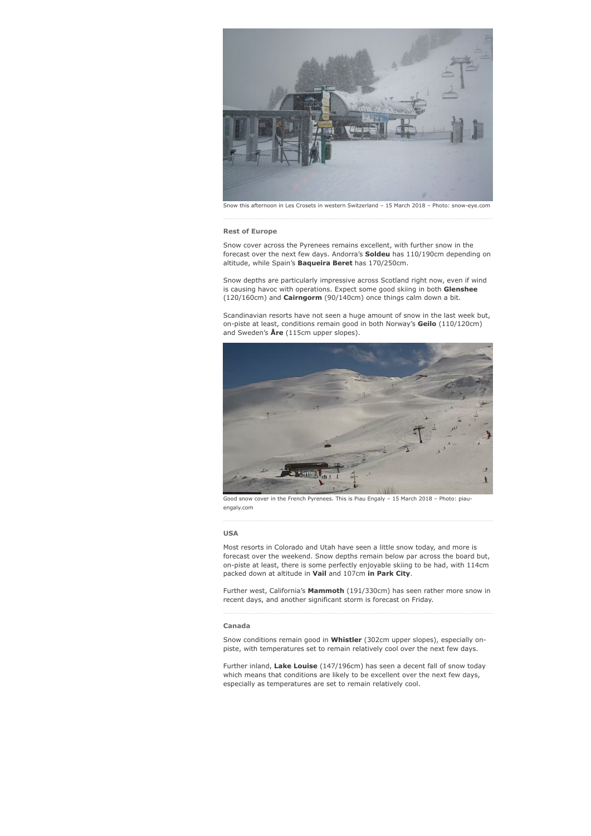

## **Rest of Europe**

Snow cover across the Pyrenees remains excellent, with further snow in the forecast over the next few days. Andorra's **Soldeu** has 110/190cm depending on altitude, while Spain's **Baqueira Beret** has 170/250cm.

Snow depths are particularly impressive across Scotland right now, even if wind is causing havoc with operations. Expect some good skiing in both **Glenshee** (120/160cm) and **Cairngorm** (90/140cm) once things calm down a bit.

Scandinavian resorts have not seen a huge amount of snow in the last week but, on-piste at least, conditions remain good in both Norway's **Geilo** (110/120cm) and Sweden's **Åre** (115cm upper slopes).



Good snow cover in the French Pyrenees. This is Piau Engaly – 15 March 2018 – Photo: piauengaly.com

#### **USA**

Most resorts in Colorado and Utah have seen a little snow today, and more is forecast over the weekend. Snow depths remain below par across the board but, on-piste at least, there is some perfectly enjoyable skiing to be had, with 114cm packed down at altitude in **Vail** and 107cm **in Park City**.

Further west, California's **Mammoth** (191/330cm) has seen rather more snow in recent days, and another significant storm is forecast on Friday.

#### **Canada**

Snow conditions remain good in **Whistler** (302cm upper slopes), especially onpiste, with temperatures set to remain relatively cool over the next few days.

Further inland, **Lake Louise** (147/196cm) has seen a decent fall of snow today which means that conditions are likely to be excellent over the next few days, especially as temperatures are set to remain relatively cool.